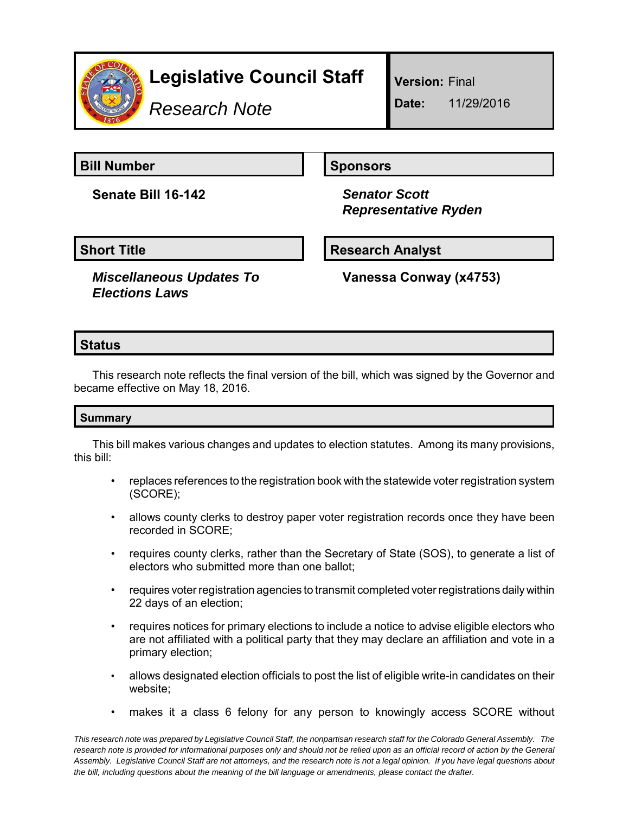

# **Legislative Council Staff**

*Research Note*

**Version:** Final

**Date:** 11/29/2016

**Bill Number Sponsors** Sponsors

**Senate Bill 16-142** *Senator Scott*

 *Representative Ryden*

*Miscellaneous Updates To Elections Laws*

**Short Title Research Analyst** 

**Vanessa Conway (x4753)**

# **Status**

This research note reflects the final version of the bill, which was signed by the Governor and became effective on May 18, 2016.

### **Summary**

This bill makes various changes and updates to election statutes. Among its many provisions, this bill:

- replaces references to the registration book with the statewide voter registration system (SCORE);
- allows county clerks to destroy paper voter registration records once they have been recorded in SCORE;
- requires county clerks, rather than the Secretary of State (SOS), to generate a list of electors who submitted more than one ballot;
- requires voter registration agencies to transmit completed voter registrations daily within 22 days of an election;
- requires notices for primary elections to include a notice to advise eligible electors who are not affiliated with a political party that they may declare an affiliation and vote in a primary election;
- allows designated election officials to post the list of eligible write-in candidates on their website;
- makes it a class 6 felony for any person to knowingly access SCORE without

*This research note was prepared by Legislative Council Staff, the nonpartisan research staff for the Colorado General Assembly. The research note is provided for informational purposes only and should not be relied upon as an official record of action by the General Assembly. Legislative Council Staff are not attorneys, and the research note is not a legal opinion. If you have legal questions about the bill, including questions about the meaning of the bill language or amendments, please contact the drafter.*